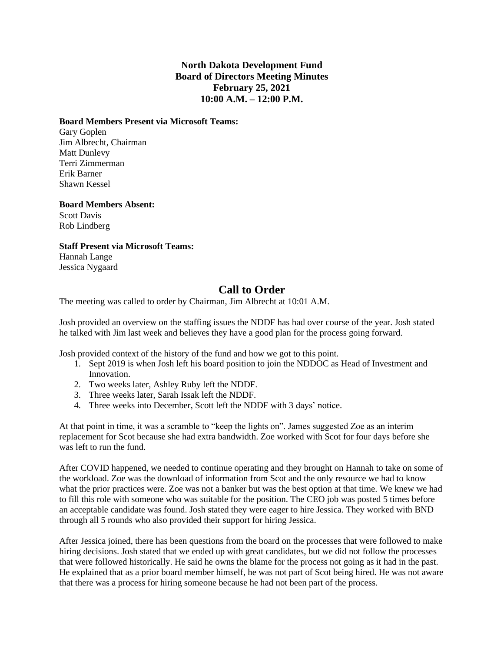## **North Dakota Development Fund Board of Directors Meeting Minutes February 25, 2021 10:00 A.M. – 12:00 P.M.**

### **Board Members Present via Microsoft Teams:**

Gary Goplen Jim Albrecht, Chairman Matt Dunlevy Terri Zimmerman Erik Barner Shawn Kessel

### **Board Members Absent:**

Scott Davis Rob Lindberg

**Staff Present via Microsoft Teams:**

Hannah Lange Jessica Nygaard

# **Call to Order**

The meeting was called to order by Chairman, Jim Albrecht at 10:01 A.M.

Josh provided an overview on the staffing issues the NDDF has had over course of the year. Josh stated he talked with Jim last week and believes they have a good plan for the process going forward.

Josh provided context of the history of the fund and how we got to this point.

- 1. Sept 2019 is when Josh left his board position to join the NDDOC as Head of Investment and Innovation.
- 2. Two weeks later, Ashley Ruby left the NDDF.
- 3. Three weeks later, Sarah Issak left the NDDF.
- 4. Three weeks into December, Scott left the NDDF with 3 days' notice.

At that point in time, it was a scramble to "keep the lights on". James suggested Zoe as an interim replacement for Scot because she had extra bandwidth. Zoe worked with Scot for four days before she was left to run the fund.

After COVID happened, we needed to continue operating and they brought on Hannah to take on some of the workload. Zoe was the download of information from Scot and the only resource we had to know what the prior practices were. Zoe was not a banker but was the best option at that time. We knew we had to fill this role with someone who was suitable for the position. The CEO job was posted 5 times before an acceptable candidate was found. Josh stated they were eager to hire Jessica. They worked with BND through all 5 rounds who also provided their support for hiring Jessica.

After Jessica joined, there has been questions from the board on the processes that were followed to make hiring decisions. Josh stated that we ended up with great candidates, but we did not follow the processes that were followed historically. He said he owns the blame for the process not going as it had in the past. He explained that as a prior board member himself, he was not part of Scot being hired. He was not aware that there was a process for hiring someone because he had not been part of the process.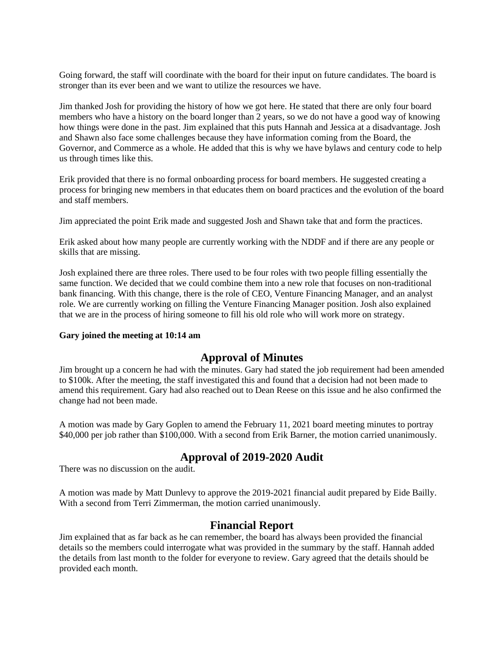Going forward, the staff will coordinate with the board for their input on future candidates. The board is stronger than its ever been and we want to utilize the resources we have.

Jim thanked Josh for providing the history of how we got here. He stated that there are only four board members who have a history on the board longer than 2 years, so we do not have a good way of knowing how things were done in the past. Jim explained that this puts Hannah and Jessica at a disadvantage. Josh and Shawn also face some challenges because they have information coming from the Board, the Governor, and Commerce as a whole. He added that this is why we have bylaws and century code to help us through times like this.

Erik provided that there is no formal onboarding process for board members. He suggested creating a process for bringing new members in that educates them on board practices and the evolution of the board and staff members.

Jim appreciated the point Erik made and suggested Josh and Shawn take that and form the practices.

Erik asked about how many people are currently working with the NDDF and if there are any people or skills that are missing.

Josh explained there are three roles. There used to be four roles with two people filling essentially the same function. We decided that we could combine them into a new role that focuses on non-traditional bank financing. With this change, there is the role of CEO, Venture Financing Manager, and an analyst role. We are currently working on filling the Venture Financing Manager position. Josh also explained that we are in the process of hiring someone to fill his old role who will work more on strategy.

### **Gary joined the meeting at 10:14 am**

## **Approval of Minutes**

Jim brought up a concern he had with the minutes. Gary had stated the job requirement had been amended to \$100k. After the meeting, the staff investigated this and found that a decision had not been made to amend this requirement. Gary had also reached out to Dean Reese on this issue and he also confirmed the change had not been made.

A motion was made by Gary Goplen to amend the February 11, 2021 board meeting minutes to portray \$40,000 per job rather than \$100,000. With a second from Erik Barner, the motion carried unanimously.

# **Approval of 2019-2020 Audit**

There was no discussion on the audit.

A motion was made by Matt Dunlevy to approve the 2019-2021 financial audit prepared by Eide Bailly. With a second from Terri Zimmerman, the motion carried unanimously.

## **Financial Report**

Jim explained that as far back as he can remember, the board has always been provided the financial details so the members could interrogate what was provided in the summary by the staff. Hannah added the details from last month to the folder for everyone to review. Gary agreed that the details should be provided each month.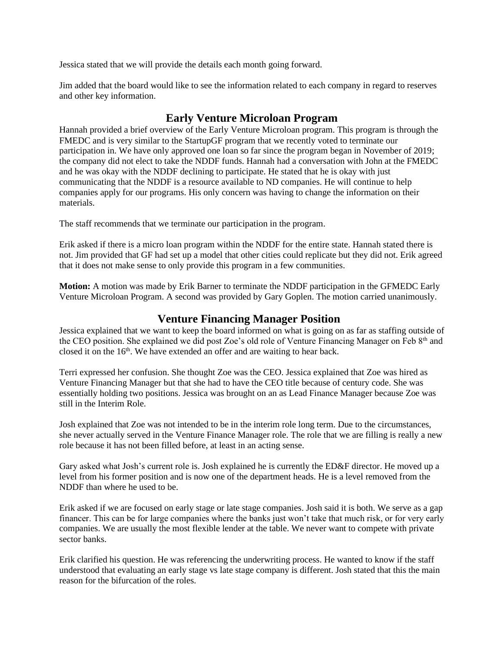Jessica stated that we will provide the details each month going forward.

Jim added that the board would like to see the information related to each company in regard to reserves and other key information.

# **Early Venture Microloan Program**

Hannah provided a brief overview of the Early Venture Microloan program. This program is through the FMEDC and is very similar to the StartupGF program that we recently voted to terminate our participation in. We have only approved one loan so far since the program began in November of 2019; the company did not elect to take the NDDF funds. Hannah had a conversation with John at the FMEDC and he was okay with the NDDF declining to participate. He stated that he is okay with just communicating that the NDDF is a resource available to ND companies. He will continue to help companies apply for our programs. His only concern was having to change the information on their materials.

The staff recommends that we terminate our participation in the program.

Erik asked if there is a micro loan program within the NDDF for the entire state. Hannah stated there is not. Jim provided that GF had set up a model that other cities could replicate but they did not. Erik agreed that it does not make sense to only provide this program in a few communities.

**Motion:** A motion was made by Erik Barner to terminate the NDDF participation in the GFMEDC Early Venture Microloan Program. A second was provided by Gary Goplen. The motion carried unanimously.

# **Venture Financing Manager Position**

Jessica explained that we want to keep the board informed on what is going on as far as staffing outside of the CEO position. She explained we did post Zoe's old role of Venture Financing Manager on Feb 8<sup>th</sup> and closed it on the  $16<sup>th</sup>$ . We have extended an offer and are waiting to hear back.

Terri expressed her confusion. She thought Zoe was the CEO. Jessica explained that Zoe was hired as Venture Financing Manager but that she had to have the CEO title because of century code. She was essentially holding two positions. Jessica was brought on an as Lead Finance Manager because Zoe was still in the Interim Role.

Josh explained that Zoe was not intended to be in the interim role long term. Due to the circumstances, she never actually served in the Venture Finance Manager role. The role that we are filling is really a new role because it has not been filled before, at least in an acting sense.

Gary asked what Josh's current role is. Josh explained he is currently the ED&F director. He moved up a level from his former position and is now one of the department heads. He is a level removed from the NDDF than where he used to be.

Erik asked if we are focused on early stage or late stage companies. Josh said it is both. We serve as a gap financer. This can be for large companies where the banks just won't take that much risk, or for very early companies. We are usually the most flexible lender at the table. We never want to compete with private sector banks.

Erik clarified his question. He was referencing the underwriting process. He wanted to know if the staff understood that evaluating an early stage vs late stage company is different. Josh stated that this the main reason for the bifurcation of the roles.